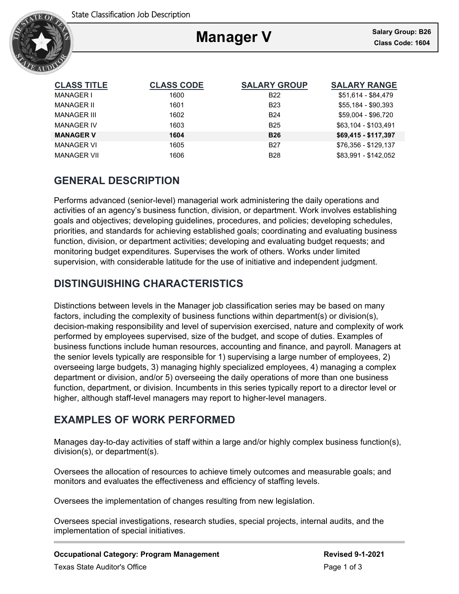

# **Manager V**

Ξ

| <b>CLASS TITLE</b> | <b>CLASS CODE</b> | <b>SALARY GROUP</b> | <b>SALARY RANGE</b>  |
|--------------------|-------------------|---------------------|----------------------|
| <b>MANAGER I</b>   | 1600              | B <sub>22</sub>     | \$51,614 - \$84,479  |
| <b>MANAGER II</b>  | 1601              | <b>B23</b>          | \$55,184 - \$90,393  |
| <b>MANAGER III</b> | 1602              | <b>B24</b>          | \$59,004 - \$96,720  |
| <b>MANAGER IV</b>  | 1603              | <b>B25</b>          | \$63.104 - \$103.491 |
| <b>MANAGER V</b>   | 1604              | <b>B26</b>          | \$69,415 - \$117,397 |
| <b>MANAGER VI</b>  | 1605              | <b>B27</b>          | \$76,356 - \$129,137 |
| <b>MANAGER VII</b> | 1606              | <b>B28</b>          | \$83,991 - \$142,052 |

# **GENERAL DESCRIPTION**

Performs advanced (senior-level) managerial work administering the daily operations and activities of an agency's business function, division, or department. Work involves establishing goals and objectives; developing guidelines, procedures, and policies; developing schedules, priorities, and standards for achieving established goals; coordinating and evaluating business function, division, or department activities; developing and evaluating budget requests; and monitoring budget expenditures. Supervises the work of others. Works under limited supervision, with considerable latitude for the use of initiative and independent judgment.

# **DISTINGUISHING CHARACTERISTICS**

Distinctions between levels in the Manager job classification series may be based on many factors, including the complexity of business functions within department(s) or division(s), decision-making responsibility and level of supervision exercised, nature and complexity of work performed by employees supervised, size of the budget, and scope of duties. Examples of business functions include human resources, accounting and finance, and payroll. Managers at the senior levels typically are responsible for 1) supervising a large number of employees, 2) overseeing large budgets, 3) managing highly specialized employees, 4) managing a complex department or division, and/or 5) overseeing the daily operations of more than one business function, department, or division. Incumbents in this series typically report to a director level or higher, although staff-level managers may report to higher-level managers.

# **EXAMPLES OF WORK PERFORMED**

Manages day-to-day activities of staff within a large and/or highly complex business function(s), division(s), or department(s).

Oversees the allocation of resources to achieve timely outcomes and measurable goals; and monitors and evaluates the effectiveness and efficiency of staffing levels.

Oversees the implementation of changes resulting from new legislation.

Oversees special investigations, research studies, special projects, internal audits, and the implementation of special initiatives.

### **Occupational Category: Program Management Revised 9-1-2021**

Texas State Auditor's Office **Page 1 of 3** and 3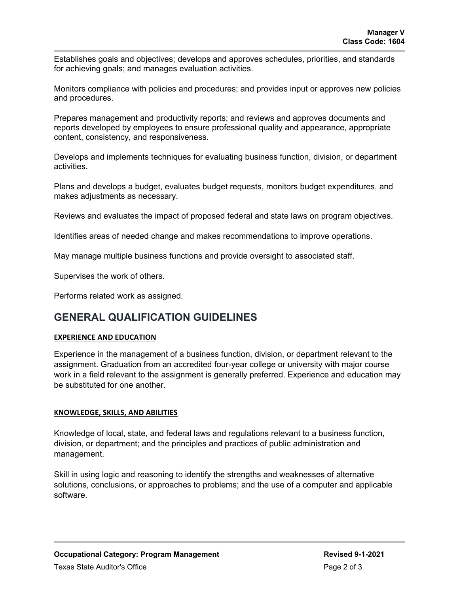Establishes goals and objectives; develops and approves schedules, priorities, and standards for achieving goals; and manages evaluation activities.

Monitors compliance with policies and procedures; and provides input or approves new policies and procedures.

Prepares management and productivity reports; and reviews and approves documents and reports developed by employees to ensure professional quality and appearance, appropriate content, consistency, and responsiveness.

Develops and implements techniques for evaluating business function, division, or department activities.

Plans and develops a budget, evaluates budget requests, monitors budget expenditures, and makes adjustments as necessary.

Reviews and evaluates the impact of proposed federal and state laws on program objectives.

Identifies areas of needed change and makes recommendations to improve operations.

May manage multiple business functions and provide oversight to associated staff.

Supervises the work of others.

Performs related work as assigned.

### **GENERAL QUALIFICATION GUIDELINES**

### **EXPERIENCE AND EDUCATION**

Experience in the management of a business function, division, or department relevant to the assignment. Graduation from an accredited four-year college or university with major course work in a field relevant to the assignment is generally preferred. Experience and education may be substituted for one another.

### **KNOWLEDGE, SKILLS, AND ABILITIES**

Knowledge of local, state, and federal laws and regulations relevant to a business function, division, or department; and the principles and practices of public administration and management.

Skill in using logic and reasoning to identify the strengths and weaknesses of alternative solutions, conclusions, or approaches to problems; and the use of a computer and applicable software.